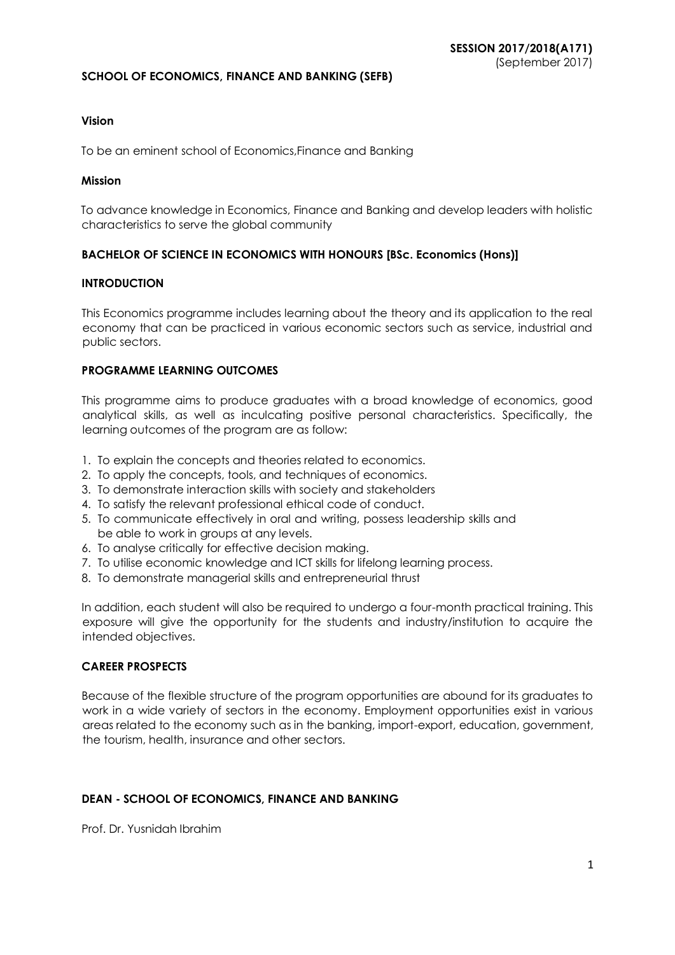### **SCHOOL OF ECONOMICS, FINANCE AND BANKING (SEFB)**

### **Vision**

To be an eminent school of Economics,Finance and Banking

### **Mission**

To advance knowledge in Economics, Finance and Banking and develop leaders with holistic characteristics to serve the global community

### **BACHELOR OF SCIENCE IN ECONOMICS WITH HONOURS [BSc. Economics (Hons)]**

### **INTRODUCTION**

This Economics programme includes learning about the theory and its application to the real economy that can be practiced in various economic sectors such as service, industrial and public sectors.

### **PROGRAMME LEARNING OUTCOMES**

This programme aims to produce graduates with a broad knowledge of economics, good analytical skills, as well as inculcating positive personal characteristics. Specifically, the learning outcomes of the program are as follow:

- 1. To explain the concepts and theories related to economics.
- 2. To apply the concepts, tools, and techniques of economics.
- 3. To demonstrate interaction skills with society and stakeholders
- 4. To satisfy the relevant professional ethical code of conduct.
- 5. To communicate effectively in oral and writing, possess leadership skills and be able to work in groups at any levels.
- 6. To analyse critically for effective decision making.
- 7. To utilise economic knowledge and ICT skills for lifelong learning process.
- 8. To demonstrate managerial skills and entrepreneurial thrust

In addition, each student will also be required to undergo a four-month practical training. This exposure will give the opportunity for the students and industry/institution to acquire the intended objectives.

### **CAREER PROSPECTS**

Because of the flexible structure of the program opportunities are abound for its graduates to work in a wide variety of sectors in the economy. Employment opportunities exist in various areas related to the economy such as in the banking, import-export, education, government, the tourism, health, insurance and other sectors.

### **DEAN - SCHOOL OF ECONOMICS, FINANCE AND BANKING**

Prof. Dr. Yusnidah Ibrahim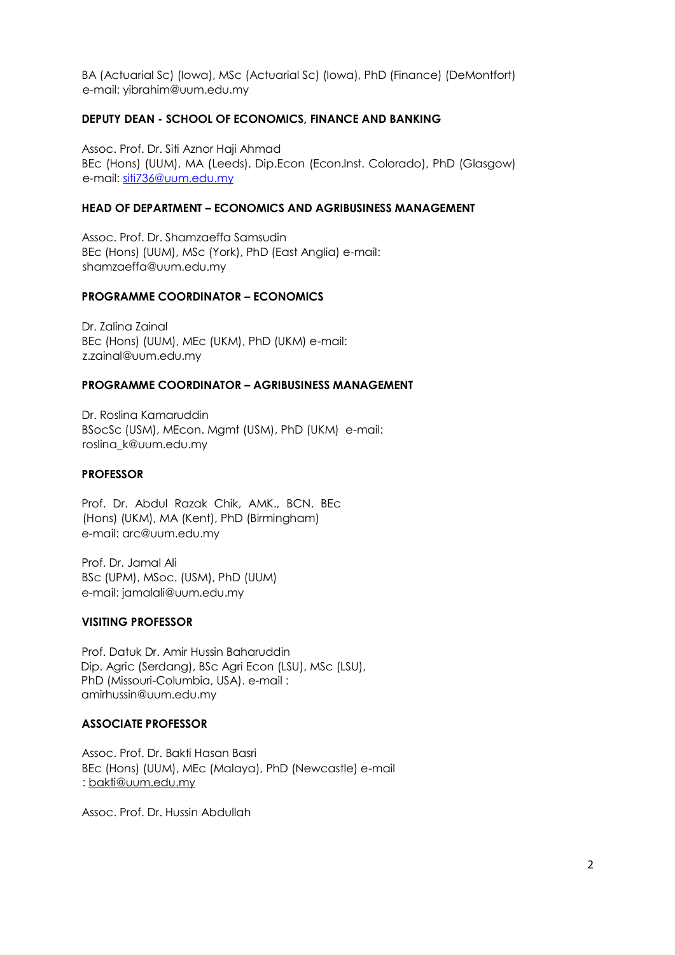BA (Actuarial Sc) (Iowa), MSc (Actuarial Sc) (Iowa), PhD (Finance) (DeMontfort) e-mail: yibrahim@uum.edu.my

### **DEPUTY DEAN - SCHOOL OF ECONOMICS, FINANCE AND BANKING**

Assoc. Prof. Dr. Siti Aznor Haji Ahmad BEc (Hons) (UUM), MA (Leeds), Dip.Econ (Econ.Inst. Colorado), PhD (Glasgow) e-mail: siti736@uum.edu.my

### **HEAD OF DEPARTMENT – ECONOMICS AND AGRIBUSINESS MANAGEMENT**

Assoc. Prof. Dr. Shamzaeffa Samsudin BEc (Hons) (UUM), MSc (York), PhD (East Anglia) e-mail: shamzaeffa@uum.edu.my

### **PROGRAMME COORDINATOR – ECONOMICS**

Dr. Zalina Zainal BEc (Hons) (UUM), MEc (UKM), PhD (UKM) e-mail: z.zainal@uum.edu.my

#### **PROGRAMME COORDINATOR – AGRIBUSINESS MANAGEMENT**

Dr. Roslina Kamaruddin BSocSc (USM), MEcon. Mgmt (USM), PhD (UKM) e-mail: roslina\_k@uum.edu.my

### **PROFESSOR**

Prof. Dr. Abdul Razak Chik, AMK., BCN. BEc (Hons) (UKM), MA (Kent), PhD (Birmingham) e-mail: arc@uum.edu.my

Prof. Dr. Jamal Ali BSc (UPM), MSoc. (USM), PhD (UUM) e-mail: jamalali@uum.edu.my

#### **VISITING PROFESSOR**

Prof. Datuk Dr. Amir Hussin Baharuddin Dip. Agric (Serdang), BSc Agri Econ (LSU), MSc (LSU), PhD (Missouri-Columbia, USA). e-mail : amirhussin@uum.edu.my

#### **ASSOCIATE PROFESSOR**

Assoc. Prof. Dr. Bakti Hasan Basri BEc (Hons) (UUM), MEc (Malaya), PhD (Newcastle) e-mail : bakti@uum.edu.my

Assoc. Prof. Dr. Hussin Abdullah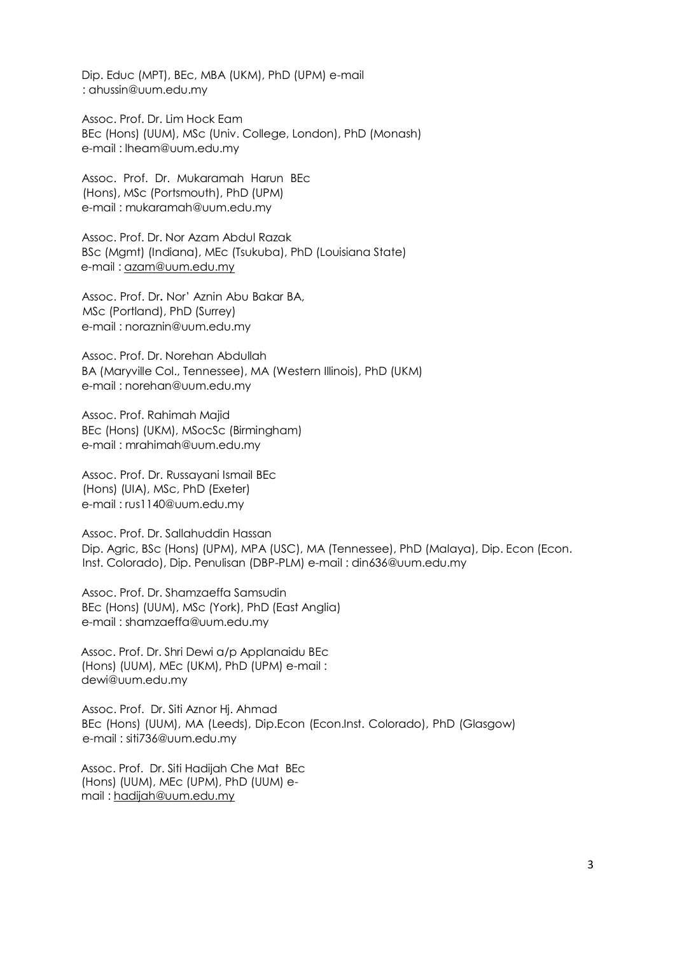Dip. Educ (MPT), BEc, MBA (UKM), PhD (UPM) e-mail : ahussin@uum.edu.my

Assoc. Prof. Dr. Lim Hock Eam BEc (Hons) (UUM), MSc (Univ. College, London), PhD (Monash) e-mail : lheam@uum.edu.my

Assoc. Prof. Dr. Mukaramah Harun BEc (Hons), MSc (Portsmouth), PhD (UPM) e-mail : mukaramah@uum.edu.my

Assoc. Prof. Dr. Nor Azam Abdul Razak BSc (Mgmt) (Indiana), MEc (Tsukuba), PhD (Louisiana State) e-mail : azam@uum.edu.my

Assoc. Prof. Dr**.** Nor' Aznin Abu Bakar BA, MSc (Portland), PhD (Surrey) e-mail : noraznin@uum.edu.my

Assoc. Prof. Dr. Norehan Abdullah BA (Maryville Col., Tennessee), MA (Western Illinois), PhD (UKM) e-mail : norehan@uum.edu.my

Assoc. Prof. Rahimah Majid BEc (Hons) (UKM), MSocSc (Birmingham) e-mail : mrahimah@uum.edu.my

Assoc. Prof. Dr. Russayani Ismail BEc (Hons) (UIA), MSc, PhD (Exeter) e-mail : rus1140@uum.edu.my

Assoc. Prof. Dr. Sallahuddin Hassan Dip. Agric, BSc (Hons) (UPM), MPA (USC), MA (Tennessee), PhD (Malaya), Dip. Econ (Econ. Inst. Colorado), Dip. Penulisan (DBP-PLM) e-mail : din636@uum.edu.my

Assoc. Prof. Dr. Shamzaeffa Samsudin BEc (Hons) (UUM), MSc (York), PhD (East Anglia) e-mail : shamzaeffa@uum.edu.my

Assoc. Prof. Dr. Shri Dewi a/p Applanaidu BEc (Hons) (UUM), MEc (UKM), PhD (UPM) e-mail : dewi@uum.edu.my

Assoc. Prof. Dr. Siti Aznor Hj. Ahmad BEc (Hons) (UUM), MA (Leeds), Dip.Econ (Econ.Inst. Colorado), PhD (Glasgow) e-mail : siti736@uum.edu.my

Assoc. Prof. Dr. Siti Hadijah Che Mat BEc (Hons) (UUM), MEc (UPM), PhD (UUM) email : hadijah@uum.edu.my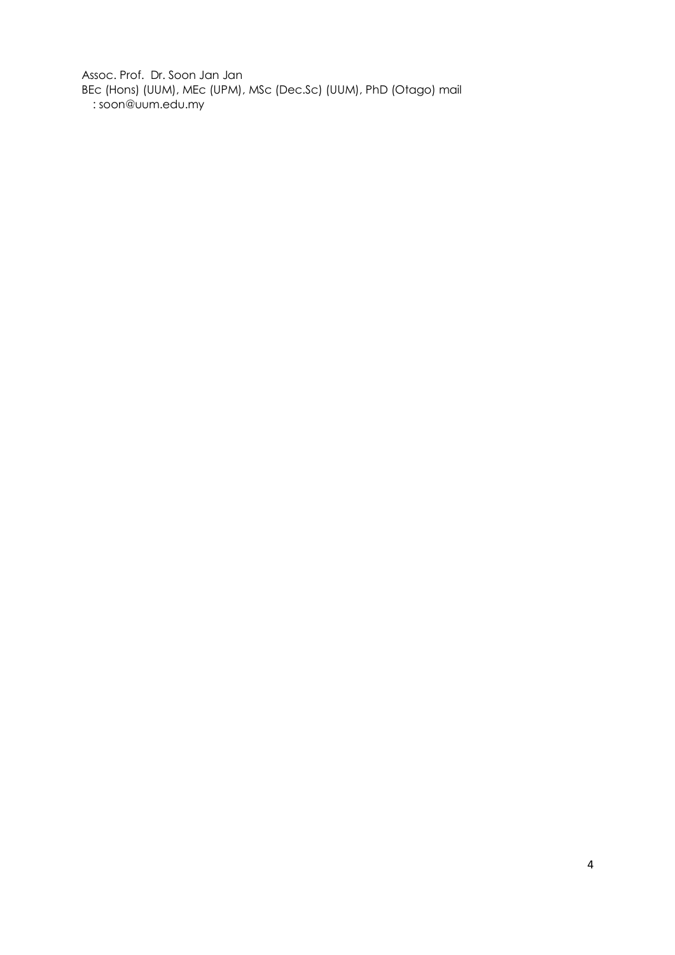Assoc. Prof. Dr. Soon Jan Jan BEc (Hons) (UUM), MEc (UPM), MSc (Dec.Sc) (UUM), PhD (Otago) mail : soon@uum.edu.my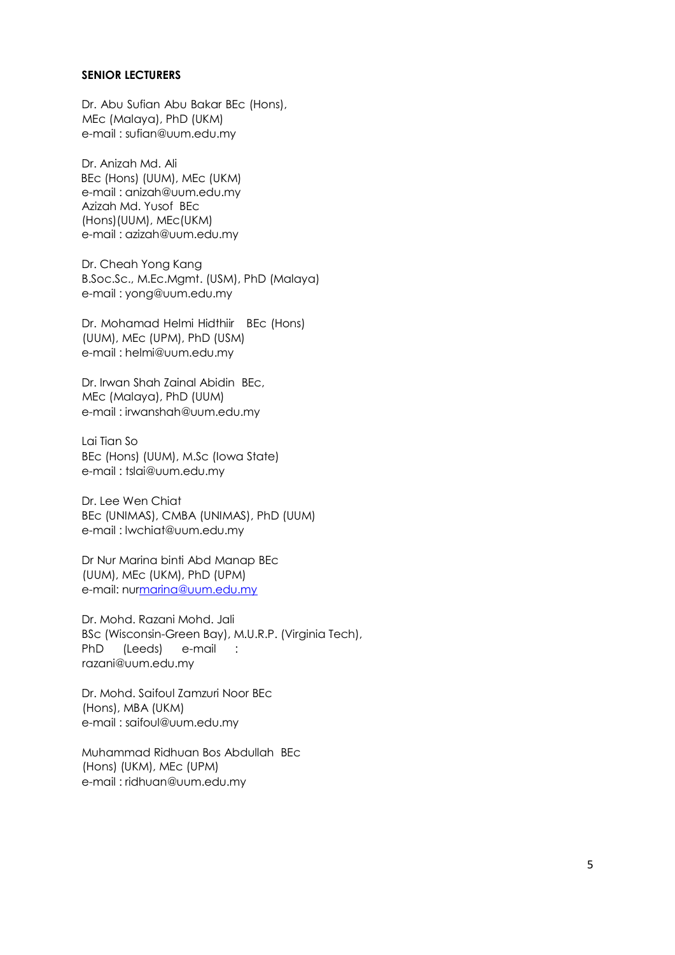### **SENIOR LECTURERS**

Dr. Abu Sufian Abu Bakar BEc (Hons), MEc (Malaya), PhD (UKM) e-mail : sufian@uum.edu.my

Dr. Anizah Md. Ali BEc (Hons) (UUM), MEc (UKM) e-mail : anizah@uum.edu.my Azizah Md. Yusof BEc (Hons)(UUM), MEc(UKM) e-mail : azizah@uum.edu.my

Dr. Cheah Yong Kang B.Soc.Sc., M.Ec.Mgmt. (USM), PhD (Malaya) e-mail : yong@uum.edu.my

Dr. Mohamad Helmi Hidthiir BEc (Hons) (UUM), MEc (UPM), PhD (USM) e-mail : helmi@uum.edu.my

Dr. Irwan Shah Zainal Abidin BEc, MEc (Malaya), PhD (UUM) e-mail : irwanshah@uum.edu.my

Lai Tian So BEc (Hons) (UUM), M.Sc (Iowa State) e-mail : tslai@uum.edu.my

Dr. Lee Wen Chiat BEc (UNIMAS), CMBA (UNIMAS), PhD (UUM) e-mail : lwchiat@uum.edu.my

Dr Nur Marina binti Abd Manap BEc (UUM), MEc (UKM), PhD (UPM) e-mail: nurmarina@uum.edu.my

Dr. Mohd. Razani Mohd. Jali BSc (Wisconsin-Green Bay), M.U.R.P. (Virginia Tech), PhD (Leeds) e-mail : razani@uum.edu.my

Dr. Mohd. Saifoul Zamzuri Noor BEc (Hons), MBA (UKM) e-mail : saifoul@uum.edu.my

Muhammad Ridhuan Bos Abdullah BEc (Hons) (UKM), MEc (UPM) e-mail : ridhuan@uum.edu.my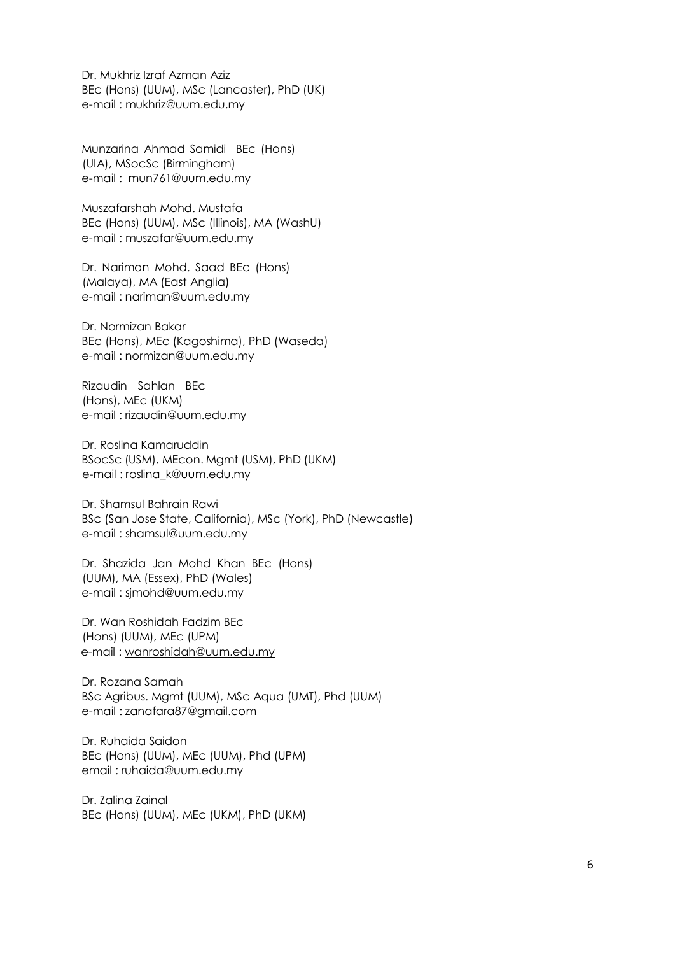Dr. Mukhriz Izraf Azman Aziz BEc (Hons) (UUM), MSc (Lancaster), PhD (UK) e-mail : mukhriz@uum.edu.my

Munzarina Ahmad Samidi BEc (Hons) (UIA), MSocSc (Birmingham) e-mail : mun761@uum.edu.my

Muszafarshah Mohd. Mustafa BEc (Hons) (UUM), MSc (Illinois), MA (WashU) e-mail : muszafar@uum.edu.my

Dr. Nariman Mohd. Saad BEc (Hons) (Malaya), MA (East Anglia) e-mail : nariman@uum.edu.my

Dr. Normizan Bakar BEc (Hons), MEc (Kagoshima), PhD (Waseda) e-mail : normizan@uum.edu.my

Rizaudin Sahlan BEc (Hons), MEc (UKM) e-mail : rizaudin@uum.edu.my

Dr. Roslina Kamaruddin BSocSc (USM), MEcon. Mgmt (USM), PhD (UKM) e-mail : roslina\_k@uum.edu.my

Dr. Shamsul Bahrain Rawi BSc (San Jose State, California), MSc (York), PhD (Newcastle) e-mail : shamsul@uum.edu.my

Dr. Shazida Jan Mohd Khan BEc (Hons) (UUM), MA (Essex), PhD (Wales) e-mail : sjmohd@uum.edu.my

Dr. Wan Roshidah Fadzim BEc (Hons) (UUM), MEc (UPM) e-mail : wanroshidah@uum.edu.my

Dr. Rozana Samah BSc Agribus. Mgmt (UUM), MSc Aqua (UMT), Phd (UUM) e-mail : zanafara87@gmail.com

Dr. Ruhaida Saidon BEc (Hons) (UUM), MEc (UUM), Phd (UPM) email : ruhaida@uum.edu.my

Dr. Zalina Zainal BEc (Hons) (UUM), MEc (UKM), PhD (UKM)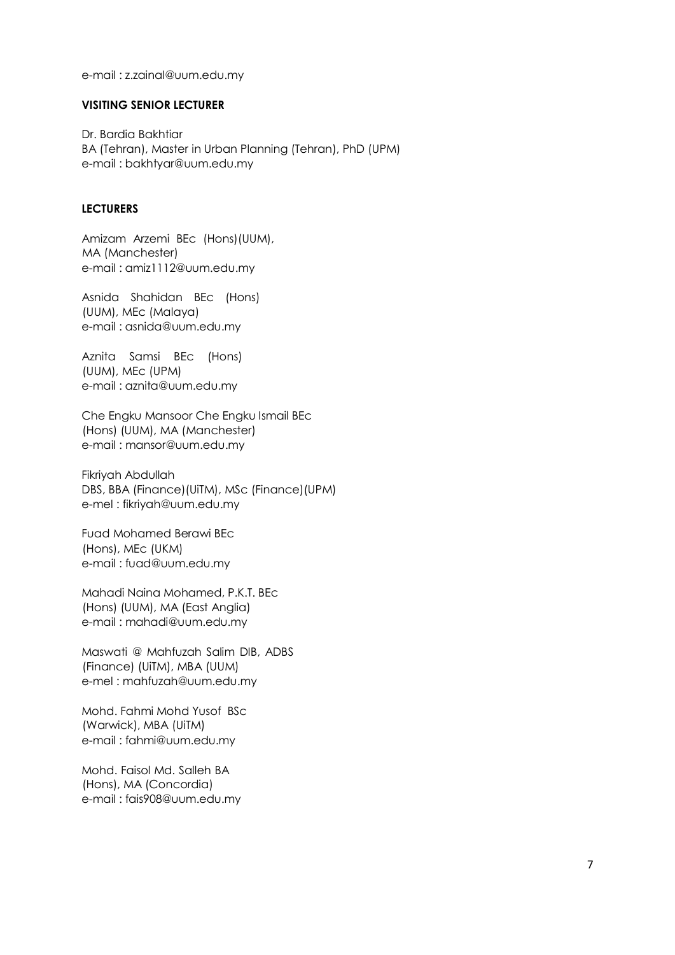e-mail : z.zainal@uum.edu.my

#### **VISITING SENIOR LECTURER**

Dr. Bardia Bakhtiar BA (Tehran), Master in Urban Planning (Tehran), PhD (UPM) e-mail : bakhtyar@uum.edu.my

### **LECTURERS**

Amizam Arzemi BEc (Hons)(UUM), MA (Manchester) e-mail : amiz1112@uum.edu.my

Asnida Shahidan BEc (Hons) (UUM), MEc (Malaya) e-mail : asnida@uum.edu.my

Aznita Samsi BEc (Hons) (UUM), MEc (UPM) e-mail : aznita@uum.edu.my

Che Engku Mansoor Che Engku Ismail BEc (Hons) (UUM), MA (Manchester) e-mail : mansor@uum.edu.my

Fikriyah Abdullah DBS, BBA (Finance)(UiTM), MSc (Finance)(UPM) e-mel : fikriyah@uum.edu.my

Fuad Mohamed Berawi BEc (Hons), MEc (UKM) e-mail : fuad@uum.edu.my

Mahadi Naina Mohamed, P.K.T. BEc (Hons) (UUM), MA (East Anglia) e-mail : mahadi@uum.edu.my

Maswati @ Mahfuzah Salim DIB, ADBS (Finance) (UiTM), MBA (UUM) e-mel : mahfuzah@uum.edu.my

Mohd. Fahmi Mohd Yusof BSc (Warwick), MBA (UiTM) e-mail : fahmi@uum.edu.my

Mohd. Faisol Md. Salleh BA (Hons), MA (Concordia) e-mail : fais908@uum.edu.my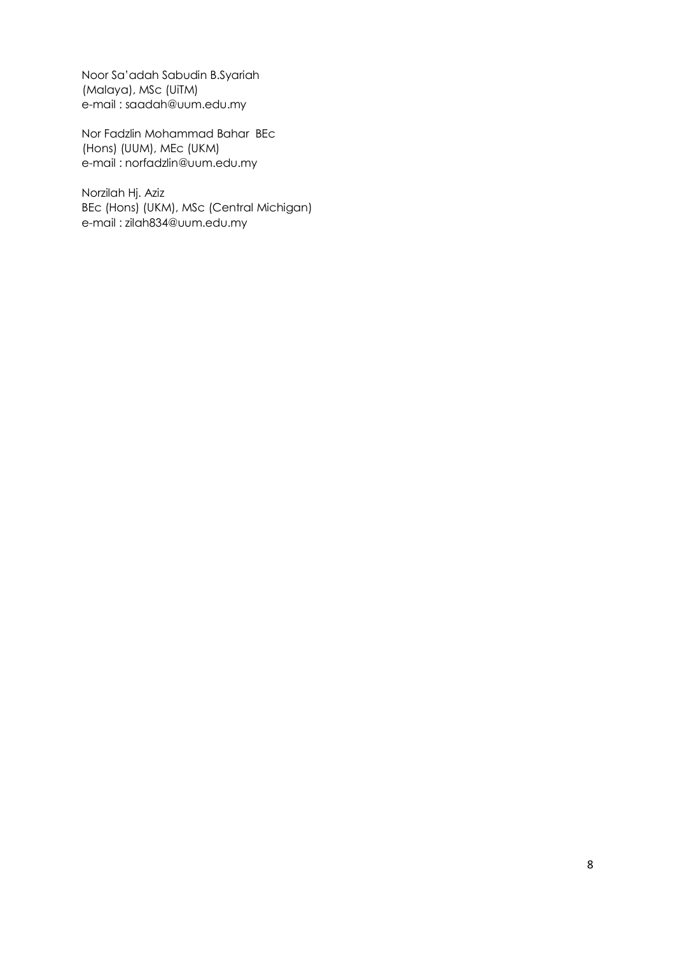Noor Sa'adah Sabudin B.Syariah (Malaya), MSc (UiTM) e-mail : saadah@uum.edu.my

Nor Fadzlin Mohammad Bahar BEc (Hons) (UUM), MEc (UKM) e-mail : norfadzlin@uum.edu.my

Norzilah Hj. Aziz BEc (Hons) (UKM), MSc (Central Michigan) e-mail : zilah834@uum.edu.my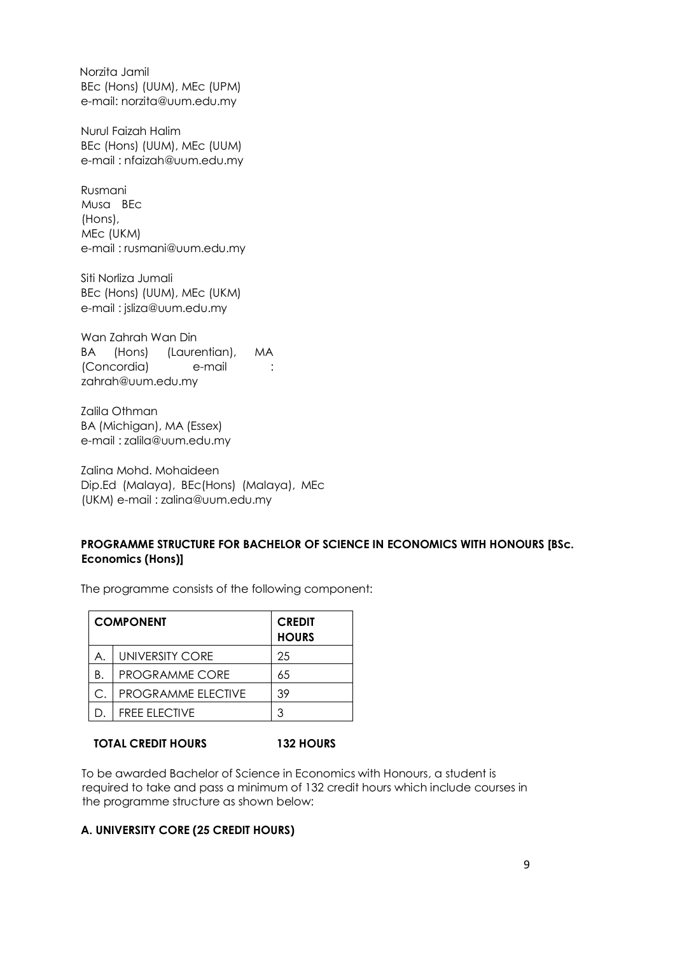Norzita Jamil BEc (Hons) (UUM), MEc (UPM) e-mail: norzita@uum.edu.my

Nurul Faizah Halim BEc (Hons) (UUM), MEc (UUM) e-mail : nfaizah@uum.edu.my

Rusmani Musa BEc (Hons), MEc (UKM) e-mail : rusmani@uum.edu.my

Siti Norliza Jumali BEc (Hons) (UUM), MEc (UKM) e-mail : jsliza@uum.edu.my

Wan Zahrah Wan Din BA (Hons) (Laurentian), MA (Concordia) e-mail : zahrah@uum.edu.my

Zalila Othman BA (Michigan), MA (Essex) e-mail : zalila@uum.edu.my

Zalina Mohd. Mohaideen Dip.Ed (Malaya), BEc(Hons) (Malaya), MEc (UKM) e-mail : zalina@uum.edu.my

## **PROGRAMME STRUCTURE FOR BACHELOR OF SCIENCE IN ECONOMICS WITH HONOURS [BSc. Economics (Hons)]**

The programme consists of the following component:

| <b>COMPONENT</b> |                           | <b>CREDIT</b><br><b>HOURS</b> |
|------------------|---------------------------|-------------------------------|
| А.               | <b>UNIVERSITY CORE</b>    | 25                            |
| Β.               | <b>PROGRAMME CORE</b>     | 65                            |
| С.               | <b>PROGRAMME ELECTIVE</b> | 39                            |
|                  | <b>FREE ELECTIVE</b>      | 3                             |

### **TOTAL CREDIT HOURS 132 HOURS**

To be awarded Bachelor of Science in Economics with Honours, a student is required to take and pass a minimum of 132 credit hours which include courses in the programme structure as shown below:

## **A. UNIVERSITY CORE (25 CREDIT HOURS)**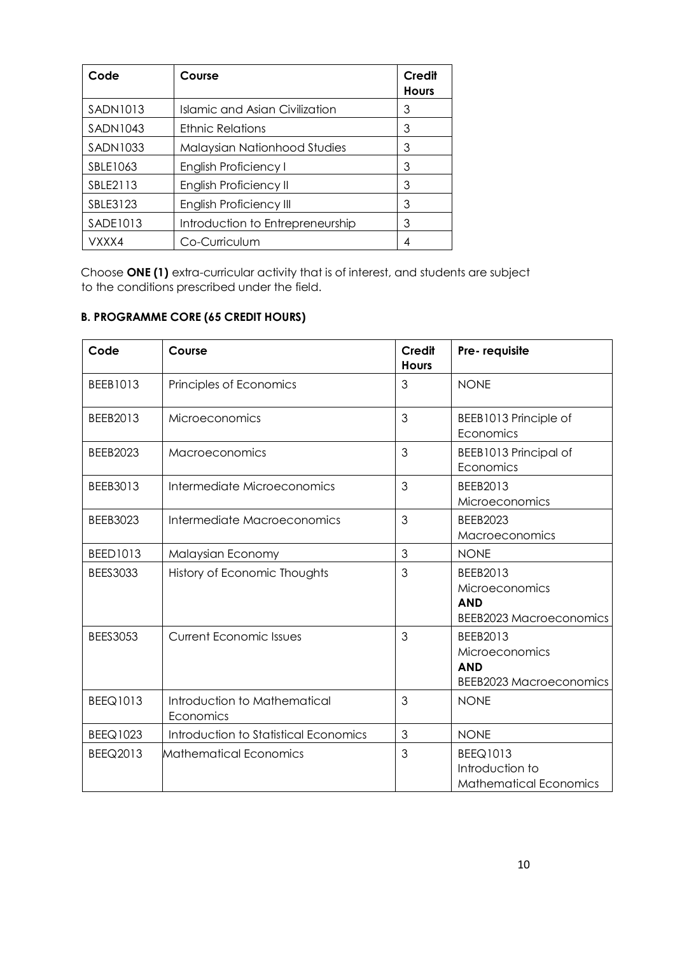| Code            | Course                                | Credit<br><b>Hours</b> |
|-----------------|---------------------------------------|------------------------|
| SADN1013        | <b>Islamic and Asian Civilization</b> | 3                      |
| <b>SADN1043</b> | <b>Ethnic Relations</b>               | 3                      |
| <b>SADN1033</b> | Malaysian Nationhood Studies          | 3                      |
| SBLE1063        | <b>English Proficiency I</b>          | 3                      |
| SBLE2113        | English Proficiency II                | 3                      |
| SBLE3123        | <b>English Proficiency III</b>        | 3                      |
| SADE1013        | Introduction to Entrepreneurship      | 3                      |
| VXXX4           | Co-Curriculum                         | 4                      |

Choose **ONE (1)** extra-curricular activity that is of interest, and students are subject to the conditions prescribed under the field.

## **B. PROGRAMME CORE (65 CREDIT HOURS)**

| Code            | Course                                    | <b>Credit</b><br><b>Hours</b> | Pre-requisite                                                                     |
|-----------------|-------------------------------------------|-------------------------------|-----------------------------------------------------------------------------------|
| BEEB1013        | Principles of Economics                   | 3                             | <b>NONE</b>                                                                       |
| BEEB2013        | Microeconomics                            | 3                             | BEEB1013 Principle of<br>Economics                                                |
| <b>BEEB2023</b> | Macroeconomics                            | 3                             | BEEB1013 Principal of<br>Economics                                                |
| BEEB3013        | Intermediate Microeconomics               | 3                             | BEEB2013<br><b>Microeconomics</b>                                                 |
| <b>BEEB3023</b> | Intermediate Macroeconomics               | 3                             | <b>BEEB2023</b><br>Macroeconomics                                                 |
| <b>BEED1013</b> | Malaysian Economy                         | 3                             | <b>NONE</b>                                                                       |
| <b>BEES3033</b> | History of Economic Thoughts              | 3                             | BEEB2013<br><b>Microeconomics</b><br><b>AND</b><br><b>BEEB2023 Macroeconomics</b> |
| <b>BEES3053</b> | <b>Current Economic Issues</b>            | 3                             | BEEB2013<br>Microeconomics<br><b>AND</b><br><b>BEEB2023 Macroeconomics</b>        |
| <b>BEEQ1013</b> | Introduction to Mathematical<br>Economics | 3                             | <b>NONE</b>                                                                       |
| <b>BEEQ1023</b> | Introduction to Statistical Economics     | 3                             | <b>NONE</b>                                                                       |
| BEEQ2013        | Mathematical Economics                    | 3                             | <b>BEEQ1013</b><br>Introduction to<br><b>Mathematical Economics</b>               |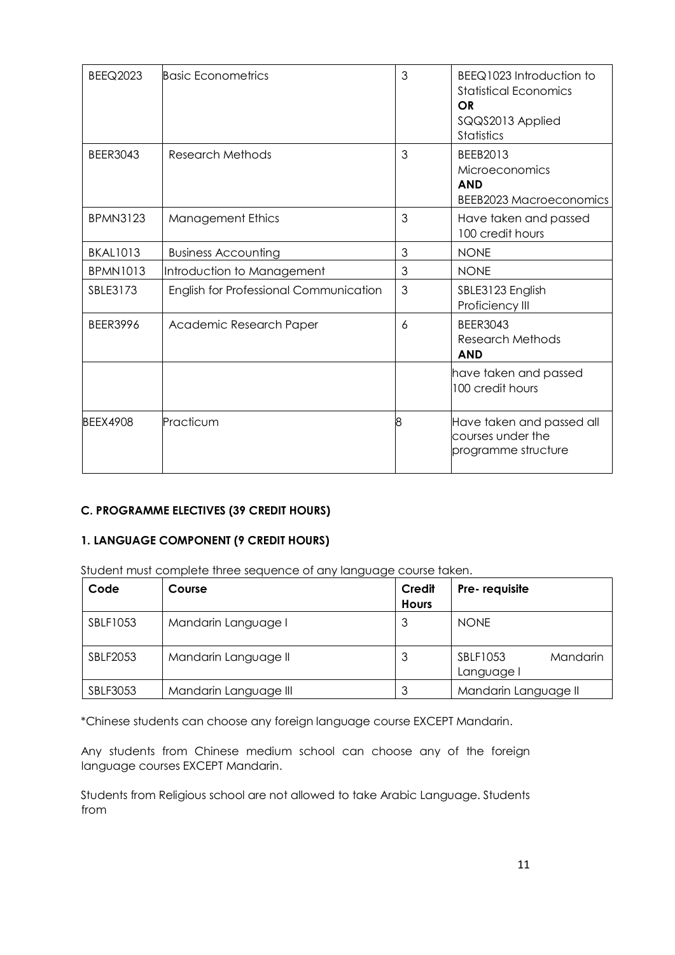| <b>BEEQ2023</b> | Basic Econometrics                     | 3 | BEEQ1023 Introduction to<br><b>Statistical Economics</b><br><b>OR</b><br>SQQS2013 Applied<br>Statistics |
|-----------------|----------------------------------------|---|---------------------------------------------------------------------------------------------------------|
| <b>BEER3043</b> | <b>Research Methods</b>                | 3 | BEEB2013<br>Microeconomics<br><b>AND</b><br><b>BEEB2023 Macroeconomics</b>                              |
| <b>BPMN3123</b> | <b>Management Ethics</b>               | 3 | Have taken and passed<br>100 credit hours                                                               |
| <b>BKAL1013</b> | <b>Business Accounting</b>             | 3 | <b>NONE</b>                                                                                             |
| <b>BPMN1013</b> | Introduction to Management             | 3 | <b>NONE</b>                                                                                             |
| SBLE3173        | English for Professional Communication | 3 | SBLE3123 English<br>Proficiency III                                                                     |
| <b>BEER3996</b> | Academic Research Paper                | 6 | <b>BEER3043</b><br>Research Methods<br><b>AND</b>                                                       |
|                 |                                        |   | have taken and passed<br>100 credit hours                                                               |
| <b>BEEX4908</b> | Practicum                              | 8 | Have taken and passed all<br>courses under the<br>programme structure                                   |

## **C. PROGRAMME ELECTIVES (39 CREDIT HOURS)**

## **1. LANGUAGE COMPONENT (9 CREDIT HOURS)**

Student must complete three sequence of any language course taken.

| Code     | Course                | Credit<br><b>Hours</b> | Pre-requisite                      |
|----------|-----------------------|------------------------|------------------------------------|
| SBLF1053 | Mandarin Language I   | 3                      | <b>NONE</b>                        |
| SBLF2053 | Mandarin Language II  | З                      | SBLF1053<br>Mandarin<br>Language I |
| SBLF3053 | Mandarin Language III |                        | Mandarin Language II               |

\*Chinese students can choose any foreign language course EXCEPT Mandarin.

Any students from Chinese medium school can choose any of the foreign language courses EXCEPT Mandarin.

Students from Religious school are not allowed to take Arabic Language. Students from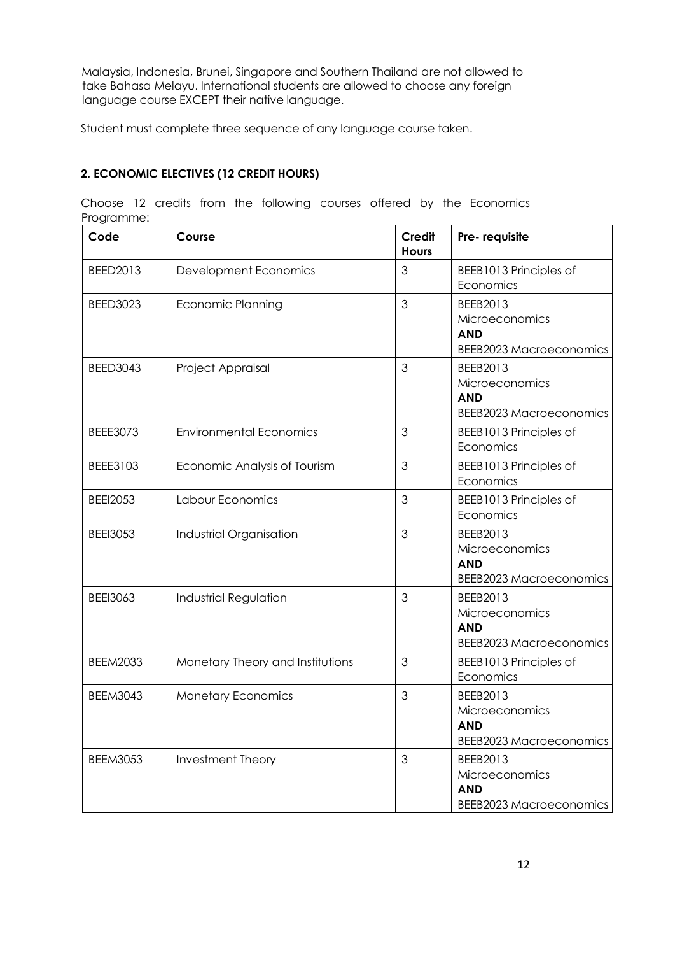Malaysia, Indonesia, Brunei, Singapore and Southern Thailand are not allowed to take Bahasa Melayu. International students are allowed to choose any foreign language course EXCEPT their native language.

Student must complete three sequence of any language course taken.

## **2. ECONOMIC ELECTIVES (12 CREDIT HOURS)**

| Code            | Course                           | <b>Credit</b><br><b>Hours</b> | Pre-requisite                                                              |
|-----------------|----------------------------------|-------------------------------|----------------------------------------------------------------------------|
| BEED2013        | Development Economics            | 3                             | BEEB1013 Principles of<br>Economics                                        |
| <b>BEED3023</b> | <b>Economic Planning</b>         | 3                             | BEEB2013<br>Microeconomics<br><b>AND</b><br><b>BEEB2023 Macroeconomics</b> |
| <b>BEED3043</b> | Project Appraisal                | 3                             | BEEB2013<br>Microeconomics<br><b>AND</b><br><b>BEEB2023 Macroeconomics</b> |
| BEEE3073        | <b>Environmental Economics</b>   | 3                             | BEEB1013 Principles of<br>Economics                                        |
| BEEE3103        | Economic Analysis of Tourism     | 3                             | BEEB1013 Principles of<br>Economics                                        |
| <b>BEEI2053</b> | Labour Economics                 | 3                             | BEEB1013 Principles of<br>Economics                                        |
| <b>BEEI3053</b> | Industrial Organisation          | 3                             | BEEB2013<br>Microeconomics<br><b>AND</b><br><b>BEEB2023 Macroeconomics</b> |
| <b>BEEI3063</b> | Industrial Regulation            | 3                             | BEEB2013<br>Microeconomics<br><b>AND</b><br><b>BEEB2023 Macroeconomics</b> |
| <b>BEEM2033</b> | Monetary Theory and Institutions | 3                             | BEEB1013 Principles of<br>Economics                                        |
| <b>BEEM3043</b> | <b>Monetary Economics</b>        | 3                             | BEEB2013<br>Microeconomics<br><b>AND</b><br><b>BEEB2023 Macroeconomics</b> |
| <b>BEEM3053</b> | Investment Theory                | 3                             | BEEB2013<br>Microeconomics<br><b>AND</b><br><b>BEEB2023 Macroeconomics</b> |

Choose 12 credits from the following courses offered by the Economics Programme: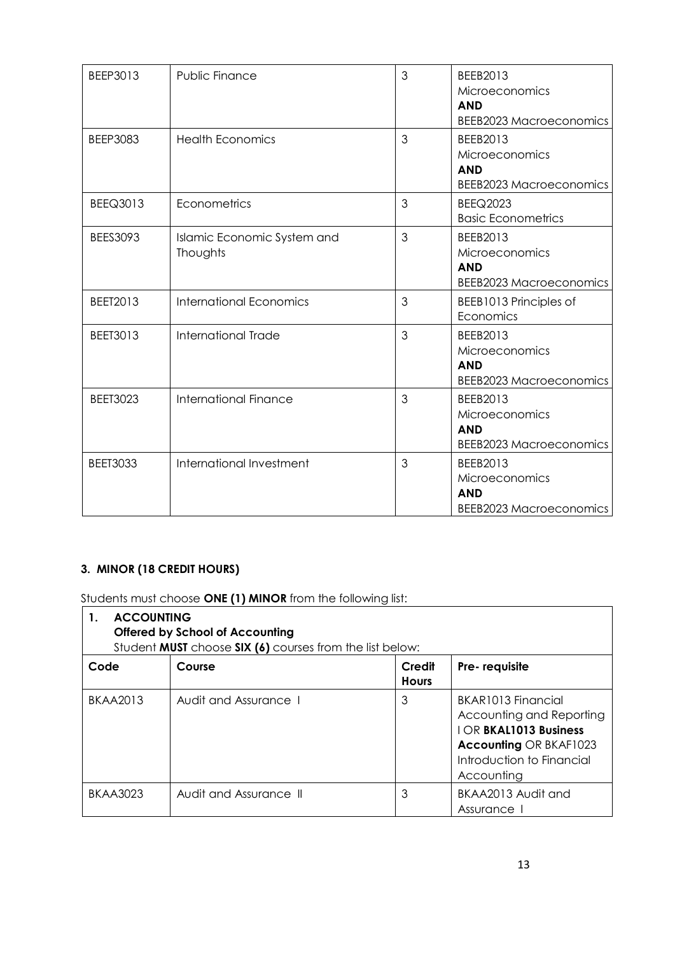| BEEP3013        | <b>Public Finance</b>                   | 3 | BEEB2013<br>Microeconomics<br><b>AND</b><br><b>BEEB2023 Macroeconomics</b> |
|-----------------|-----------------------------------------|---|----------------------------------------------------------------------------|
| <b>BEEP3083</b> | <b>Health Economics</b>                 | 3 | BEEB2013<br>Microeconomics<br><b>AND</b><br><b>BEEB2023 Macroeconomics</b> |
| <b>BEEQ3013</b> | Econometrics                            | 3 | <b>BEEQ2023</b><br><b>Basic Econometrics</b>                               |
| BEES3093        | Islamic Economic System and<br>Thoughts | 3 | BEEB2013<br>Microeconomics<br><b>AND</b><br><b>BEEB2023 Macroeconomics</b> |
| BEET2013        | <b>International Economics</b>          | 3 | BEEB1013 Principles of<br>Economics                                        |
| <b>BEET3013</b> | International Trade                     | 3 | BEEB2013<br>Microeconomics<br><b>AND</b><br><b>BEEB2023 Macroeconomics</b> |
| <b>BEET3023</b> | International Finance                   | 3 | BEEB2013<br>Microeconomics<br><b>AND</b><br><b>BEEB2023 Macroeconomics</b> |
| <b>BEET3033</b> | International Investment                | 3 | BEEB2013<br>Microeconomics<br><b>AND</b><br><b>BEEB2023 Macroeconomics</b> |

## **3. MINOR (18 CREDIT HOURS)**

Students must choose **ONE (1) MINOR** from the following list:

| <b>ACCOUNTING</b><br>$\mathbf{1}$ .<br><b>Offered by School of Accounting</b><br>Student MUST choose SIX (6) courses from the list below: |                        |                        |                                                                                                                                                            |  |
|-------------------------------------------------------------------------------------------------------------------------------------------|------------------------|------------------------|------------------------------------------------------------------------------------------------------------------------------------------------------------|--|
| Code                                                                                                                                      | Course                 | Credit<br><b>Hours</b> | Pre-requisite                                                                                                                                              |  |
| <b>BKAA2013</b>                                                                                                                           | Audit and Assurance 1  | 3                      | BKAR1013 Financial<br>Accounting and Reporting<br><b>IOR BKAL1013 Business</b><br><b>Accounting OR BKAF1023</b><br>Introduction to Financial<br>Accounting |  |
| <b>BKAA3023</b>                                                                                                                           | Audit and Assurance II | 3                      | BKAA2013 Audit and<br>Assurance                                                                                                                            |  |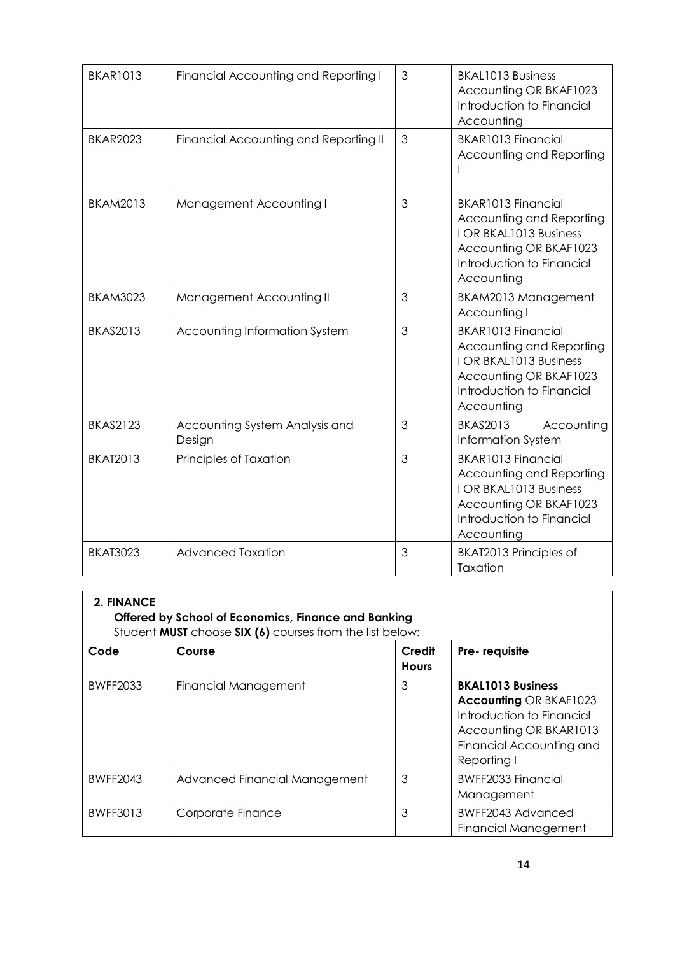| <b>BKAR1013</b> | Financial Accounting and Reporting I     | 3 | BKAL1013 Business<br>Accounting OR BKAF1023<br>Introduction to Financial<br>Accounting                                                        |
|-----------------|------------------------------------------|---|-----------------------------------------------------------------------------------------------------------------------------------------------|
| <b>BKAR2023</b> | Financial Accounting and Reporting II    | 3 | BKAR1013 Financial<br>Accounting and Reporting                                                                                                |
| <b>BKAM2013</b> | Management Accounting I                  | 3 | BKAR1013 Financial<br>Accounting and Reporting<br>I OR BKAL1013 Business<br>Accounting OR BKAF1023<br>Introduction to Financial<br>Accounting |
| <b>BKAM3023</b> | Management Accounting II                 | 3 | BKAM2013 Management<br>Accounting I                                                                                                           |
| <b>BKAS2013</b> | Accounting Information System            | 3 | BKAR1013 Financial<br>Accounting and Reporting<br>I OR BKAL1013 Business<br>Accounting OR BKAF1023<br>Introduction to Financial<br>Accounting |
| <b>BKAS2123</b> | Accounting System Analysis and<br>Design | 3 | <b>BKAS2013</b><br>Accounting<br>Information System                                                                                           |
| <b>BKAT2013</b> | Principles of Taxation                   | 3 | BKAR1013 Financial<br>Accounting and Reporting<br>I OR BKAL1013 Business<br>Accounting OR BKAF1023<br>Introduction to Financial<br>Accounting |
| <b>BKAT3023</b> | <b>Advanced Taxation</b>                 | 3 | BKAT2013 Principles of<br>Taxation                                                                                                            |

| 2. FINANCE<br>Offered by School of Economics, Finance and Banking<br>Student <b>MUST</b> choose <b>SIX (6)</b> courses from the list below: |                               |                        |                                                                                                                                                             |  |
|---------------------------------------------------------------------------------------------------------------------------------------------|-------------------------------|------------------------|-------------------------------------------------------------------------------------------------------------------------------------------------------------|--|
| Code                                                                                                                                        | Course                        | Credit<br><b>Hours</b> | Pre-requisite                                                                                                                                               |  |
| <b>BWFF2033</b>                                                                                                                             | Financial Management          | 3                      | <b>BKAL1013 Business</b><br><b>Accounting OR BKAF1023</b><br>Introduction to Financial<br>Accounting OR BKAR1013<br>Financial Accounting and<br>Reporting I |  |
| <b>BWFF2043</b>                                                                                                                             | Advanced Financial Management | 3                      | BWFF2033 Financial<br>Management                                                                                                                            |  |
| <b>BWFF3013</b>                                                                                                                             | Corporate Finance             | 3                      | BWFF2043 Advanced<br><b>Financial Management</b>                                                                                                            |  |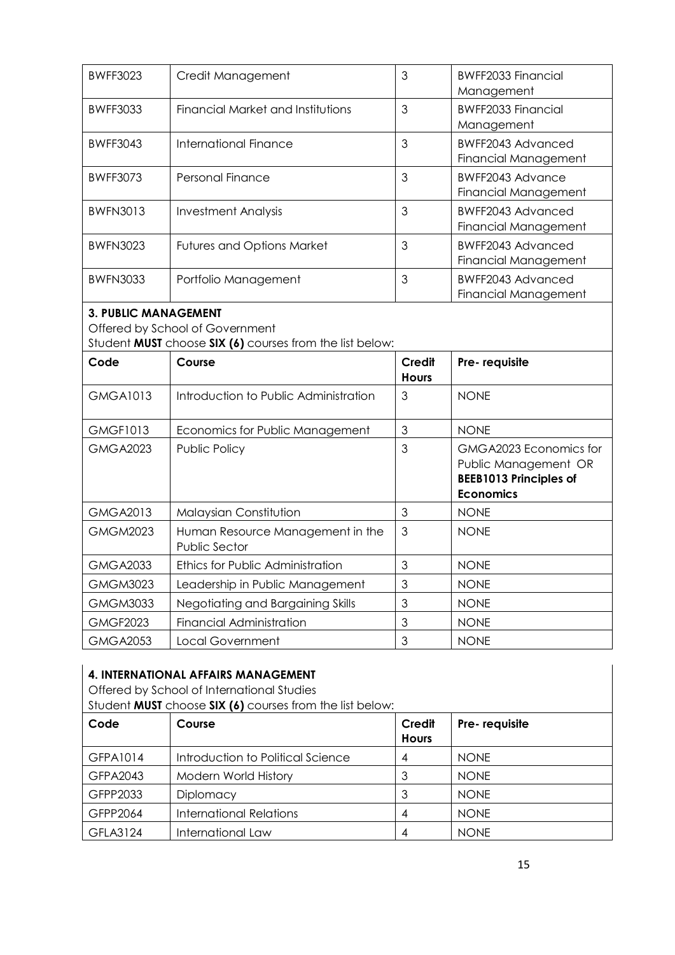| <b>BWFF3023</b>                 | Credit Management                 | 3 | BWFF2033 Financial<br>Management                 |  |
|---------------------------------|-----------------------------------|---|--------------------------------------------------|--|
| <b>BWFF3033</b>                 | Financial Market and Institutions | 3 | BWFF2033 Financial<br>Management                 |  |
| <b>BWFF3043</b>                 | <b>International Finance</b>      | 3 | BWFF2043 Advanced<br><b>Financial Management</b> |  |
| <b>BWFF3073</b>                 | Personal Finance                  | 3 | BWFF2043 Advance<br><b>Financial Management</b>  |  |
| <b>BWFN3013</b>                 | Investment Analysis               | 3 | BWFF2043 Advanced<br><b>Financial Management</b> |  |
| <b>BWFN3023</b>                 | <b>Futures and Options Market</b> | 3 | BWFF2043 Advanced<br><b>Financial Management</b> |  |
| <b>BWFN3033</b>                 | Portfolio Management              | 3 | BWFF2043 Advanced<br><b>Financial Management</b> |  |
| <b>3. PUBLIC MANAGEMENT</b>     |                                   |   |                                                  |  |
| Offered by School of Government |                                   |   |                                                  |  |

Student **MUST** choose **SIX (6)** courses from the list below:

| Code            | Course                                                   | Credit<br><b>Hours</b> | Pre-requisite                                                                                       |
|-----------------|----------------------------------------------------------|------------------------|-----------------------------------------------------------------------------------------------------|
| <b>GMGA1013</b> | Introduction to Public Administration                    | 3                      | <b>NONE</b>                                                                                         |
| <b>GMGF1013</b> | Economics for Public Management                          | 3                      | <b>NONE</b>                                                                                         |
| <b>GMGA2023</b> | Public Policy                                            | 3                      | GMGA2023 Economics for<br>Public Management OR<br><b>BEEB1013 Principles of</b><br><b>Economics</b> |
| <b>GMGA2013</b> | Malaysian Constitution                                   | 3                      | <b>NONE</b>                                                                                         |
| <b>GMGM2023</b> | Human Resource Management in the<br><b>Public Sector</b> | 3                      | <b>NONE</b>                                                                                         |
| <b>GMGA2033</b> | Ethics for Public Administration                         | 3                      | <b>NONE</b>                                                                                         |
| <b>GMGM3023</b> | Leadership in Public Management                          | 3                      | <b>NONE</b>                                                                                         |
| <b>GMGM3033</b> | Negotiating and Bargaining Skills                        | 3                      | <b>NONE</b>                                                                                         |
| <b>GMGF2023</b> | Financial Administration                                 | 3                      | <b>NONE</b>                                                                                         |
| <b>GMGA2053</b> | Local Government                                         | 3                      | <b>NONE</b>                                                                                         |

# **4. INTERNATIONAL AFFAIRS MANAGEMENT**

Offered by School of International Studies Student **MUST** choose **SIX (6)** courses from the list below:

| <u>UNUS IN MUUT CHUUSU UM (U) COUSUS INUITEINU INI DUIOW.</u> |                                   |                        |               |  |  |
|---------------------------------------------------------------|-----------------------------------|------------------------|---------------|--|--|
| Code                                                          | Course                            | Credit<br><b>Hours</b> | Pre-requisite |  |  |
| GFPA1014                                                      | Introduction to Political Science | 4                      | <b>NONE</b>   |  |  |
| GFPA2043                                                      | Modern World History              |                        | <b>NONE</b>   |  |  |
| GFPP2033                                                      | Diplomacy                         | 3                      | <b>NONE</b>   |  |  |
| GFPP2064                                                      | <b>International Relations</b>    | 4                      | <b>NONE</b>   |  |  |
| GFLA3124                                                      | International Law                 | 4                      | <b>NONE</b>   |  |  |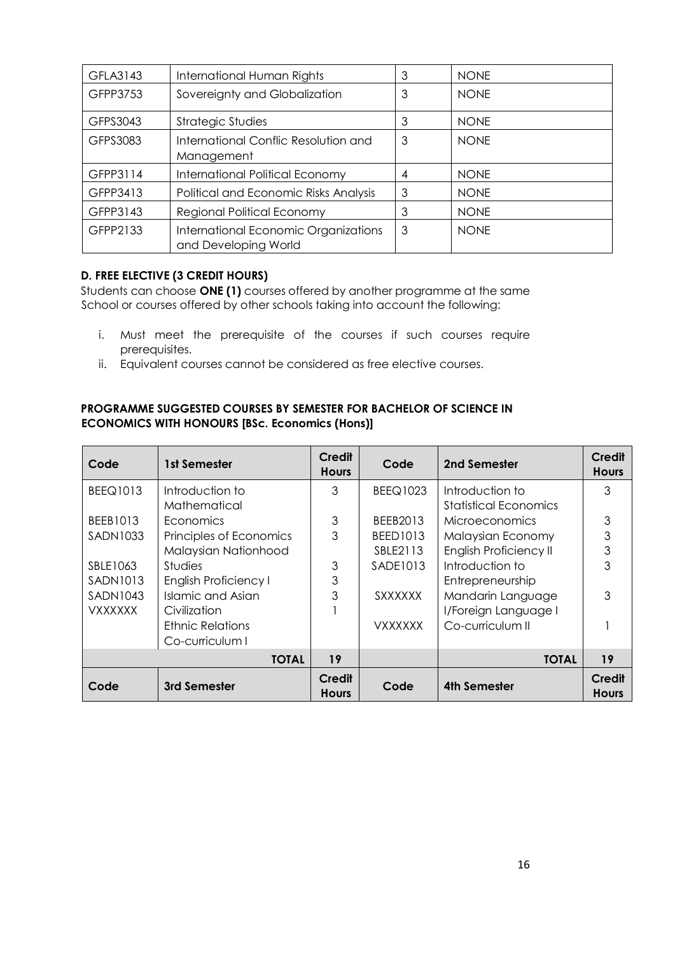| GFLA3143 | International Human Rights                                   | 3 | <b>NONE</b> |
|----------|--------------------------------------------------------------|---|-------------|
| GFPP3753 | Sovereignty and Globalization                                | 3 | <b>NONE</b> |
| GFPS3043 | <b>Strategic Studies</b>                                     | 3 | <b>NONE</b> |
| GFPS3083 | International Conflic Resolution and<br>Management           | 3 | <b>NONE</b> |
| GFPP3114 | International Political Economy                              | 4 | <b>NONE</b> |
| GFPP3413 | Political and Economic Risks Analysis                        | 3 | <b>NONE</b> |
| GFPP3143 | <b>Regional Political Economy</b>                            | 3 | <b>NONE</b> |
| GFPP2133 | International Economic Organizations<br>and Developing World | 3 | <b>NONE</b> |

## **D. FREE ELECTIVE (3 CREDIT HOURS)**

Students can choose **ONE (1)** courses offered by another programme at the same School or courses offered by other schools taking into account the following:

- i. Must meet the prerequisite of the courses if such courses require prerequisites.
- ii. Equivalent courses cannot be considered as free elective courses.

## **PROGRAMME SUGGESTED COURSES BY SEMESTER FOR BACHELOR OF SCIENCE IN ECONOMICS WITH HONOURS [BSc. Economics (Hons)]**

| Code            | 1st Semester            | Credit<br><b>Hours</b> | Code            | 2nd Semester                  | Credit<br><b>Hours</b> |
|-----------------|-------------------------|------------------------|-----------------|-------------------------------|------------------------|
| <b>BEEQ1013</b> | Introduction to         | 3                      | <b>BEEQ1023</b> | Introduction to               | 3                      |
|                 | Mathematical            |                        |                 | <b>Statistical Economics</b>  |                        |
| BEEB1013        | Economics               | 3                      | BEEB2013        | <b>Microeconomics</b>         | 3                      |
| SADN1033        | Principles of Economics | 3                      | <b>BEED1013</b> | Malaysian Economy             | 3                      |
|                 | Malaysian Nationhood    |                        | SBLE2113        | <b>English Proficiency II</b> | 3                      |
| SBLE1063        | <b>Studies</b>          | 3                      | SADE1013        | Introduction to               | 3                      |
| SADN1013        | English Proficiency I   | 3                      |                 | Entrepreneurship              |                        |
| <b>SADN1043</b> | Islamic and Asian       | 3                      | <b>SXXXXXX</b>  | Mandarin Language             | 3                      |
| <b>VXXXXXX</b>  | Civilization            |                        |                 | I/Foreign Language I          |                        |
|                 | <b>Ethnic Relations</b> |                        | <b>VXXXXXX</b>  | Co-curriculum II              |                        |
|                 | Co-curriculum I         |                        |                 |                               |                        |
| <b>TOTAL</b>    |                         | 19                     |                 | <b>TOTAL</b>                  | 19                     |
| Code            | 3rd Semester            | Credit<br><b>Hours</b> | Code            | 4th Semester                  | Credit<br><b>Hours</b> |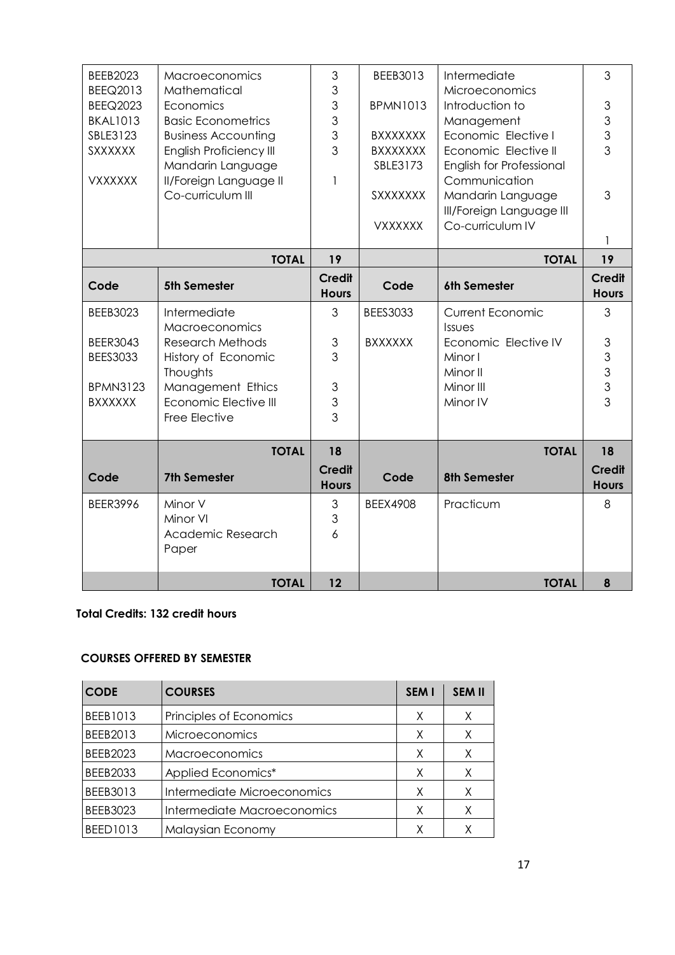| <b>BEEB2023</b> | <b>Macroeconomics</b>          | 3             | BEEB3013        | Intermediate             | 3                         |
|-----------------|--------------------------------|---------------|-----------------|--------------------------|---------------------------|
| BEEQ2013        | Mathematical                   | 3             |                 | Microeconomics           |                           |
| <b>BEEQ2023</b> | Economics                      | 3             | <b>BPMN1013</b> | Introduction to          | 3                         |
| <b>BKAL1013</b> | <b>Basic Econometrics</b>      | 3             |                 | Management               | 3                         |
| SBLE3123        | <b>Business Accounting</b>     | 3             | <b>BXXXXXXX</b> | Economic Elective I      |                           |
| <b>SXXXXXX</b>  | <b>English Proficiency III</b> | 3             | <b>BXXXXXXX</b> | Economic Elective II     | $\frac{3}{3}$             |
|                 | Mandarin Language              |               | SBLE3173        | English for Professional |                           |
| <b>VXXXXXX</b>  | Il/Foreign Language II         | 1             |                 | Communication            |                           |
|                 | Co-curriculum III              |               | SXXXXXXX        | Mandarin Language        | 3                         |
|                 |                                |               |                 | Ill/Foreign Language III |                           |
|                 |                                |               | <b>VXXXXXX</b>  | Co-curriculum IV         |                           |
|                 |                                |               |                 |                          |                           |
|                 | <b>TOTAL</b>                   | 19            |                 | <b>TOTAL</b>             |                           |
|                 |                                | <b>Credit</b> |                 |                          | <b>Credit</b>             |
| Code            | <b>5th Semester</b>            | <b>Hours</b>  | Code            | 6th Semester             | <b>Hours</b>              |
| <b>BEEB3023</b> | Intermediate                   | 3             | <b>BEES3033</b> | <b>Current Economic</b>  | 3                         |
|                 | Macroeconomics                 |               |                 | Issues                   |                           |
| <b>BEER3043</b> | <b>Research Methods</b>        | 3             | <b>BXXXXXX</b>  | Economic Elective IV     | $\ensuremath{\mathsf{3}}$ |
| <b>BEES3033</b> | History of Economic            | 3             |                 | Minor I                  | 3                         |
|                 | Thoughts                       |               |                 | Minor II                 | 3                         |
| <b>BPMN3123</b> | Management Ethics              | 3             |                 | Minor III                | 3                         |
| <b>BXXXXXX</b>  | Economic Elective III          | 3             |                 | Minor IV                 | 3                         |
|                 | Free Elective                  | 3             |                 |                          |                           |
|                 |                                |               |                 |                          |                           |
|                 | <b>TOTAL</b>                   | 18            |                 | <b>TOTAL</b>             | 18                        |
| Code            | <b>7th Semester</b>            | <b>Credit</b> | Code            | <b>8th Semester</b>      | <b>Credit</b>             |
|                 |                                | <b>Hours</b>  |                 |                          | <b>Hours</b>              |
| <b>BEER3996</b> | Minor V                        | 3             | <b>BEEX4908</b> | Practicum                | 8                         |
|                 | Minor VI                       | 3             |                 |                          |                           |
|                 | Academic Research              | 6             |                 |                          |                           |
|                 | Paper                          |               |                 |                          |                           |
|                 |                                |               |                 |                          |                           |
|                 | <b>TOTAL</b>                   | 12            |                 | <b>TOTAL</b>             | 8                         |

### **Total Credits: 132 credit hours**

## **COURSES OFFERED BY SEMESTER**

| <b>CODE</b>     | <b>COURSES</b>              | SEM I | <b>SEM II</b> |
|-----------------|-----------------------------|-------|---------------|
| BEEB1013        | Principles of Economics     | X     | X             |
| BEEB2013        | <b>Microeconomics</b>       | X     | X             |
| <b>BEEB2023</b> | <b>Macroeconomics</b>       | X     | X             |
| <b>BEEB2033</b> | Applied Economics*          | X     | X             |
| BEEB3013        | Intermediate Microeconomics | X     | X             |
| <b>BEEB3023</b> | Intermediate Macroeconomics | X     | Χ             |
| <b>BEED1013</b> | Malaysian Economy           |       |               |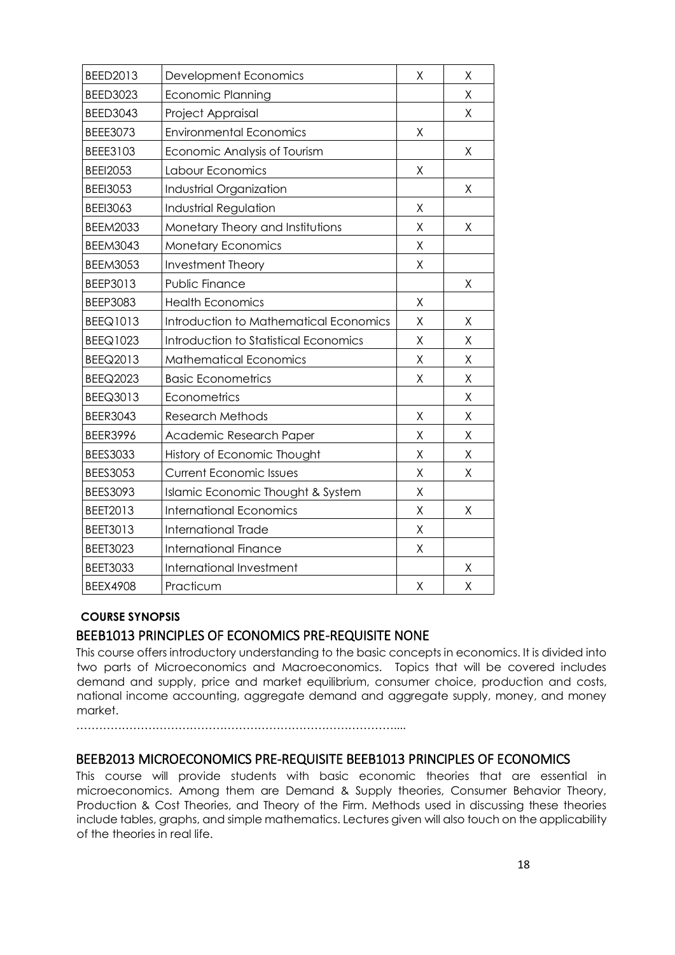| BEED2013        | Development Economics                  | X       | X |
|-----------------|----------------------------------------|---------|---|
| <b>BEED3023</b> | <b>Economic Planning</b>               |         | Χ |
| <b>BEED3043</b> | Project Appraisal                      |         | Χ |
| BEEE3073        | <b>Environmental Economics</b>         | Χ       |   |
| BEEE3103        | Economic Analysis of Tourism           |         | Χ |
| <b>BEEI2053</b> | Labour Economics                       | Χ       |   |
| <b>BEEI3053</b> | Industrial Organization                |         | Χ |
| <b>BEEI3063</b> | Industrial Regulation                  | Χ       |   |
| <b>BEEM2033</b> | Monetary Theory and Institutions       | Χ       | Χ |
| <b>BEEM3043</b> | <b>Monetary Economics</b>              | X       |   |
| <b>BEEM3053</b> | Investment Theory                      | Χ       |   |
| BEEP3013        | Public Finance                         |         | Χ |
| BEEP3083        | <b>Health Economics</b>                | Χ       |   |
| BEEQ1013        | Introduction to Mathematical Economics | Χ       | Χ |
| <b>BEEQ1023</b> | Introduction to Statistical Economics  | X       | X |
| BEEQ2013        | <b>Mathematical Economics</b>          | Χ       | Χ |
| <b>BEEQ2023</b> | <b>Basic Econometrics</b>              | X       | Χ |
| BEEQ3013        | Econometrics                           |         | Χ |
| <b>BEER3043</b> | <b>Research Methods</b>                | Χ       | Χ |
| <b>BEER3996</b> | Academic Research Paper                | $\sf X$ | X |
| <b>BEES3033</b> | History of Economic Thought            | X       | Χ |
| <b>BEES3053</b> | <b>Current Economic Issues</b>         | Χ       | Χ |
| <b>BEES3093</b> | Islamic Economic Thought & System      | Χ       |   |
| BEET2013        | <b>International Economics</b>         | Χ       | Χ |
| <b>BEET3013</b> | <b>International Trade</b>             | Χ       |   |
| <b>BEET3023</b> | <b>International Finance</b>           | Χ       |   |
| <b>BEET3033</b> | International Investment               |         | Χ |
| <b>BEEX4908</b> | Practicum                              | Χ       | Χ |
|                 |                                        |         |   |

## **COURSE SYNOPSIS**

## BEEB1013 PRINCIPLES OF ECONOMICS PRE-REQUISITE NONE

This course offers introductory understanding to the basic concepts in economics. It is divided into two parts of Microeconomics and Macroeconomics. Topics that will be covered includes demand and supply, price and market equilibrium, consumer choice, production and costs, national income accounting, aggregate demand and aggregate supply, money, and money market.

…………………………………………………………………………....

## BEEB2013 MICROECONOMICS PRE-REQUISITE BEEB1013 PRINCIPLES OF ECONOMICS

This course will provide students with basic economic theories that are essential in microeconomics. Among them are Demand & Supply theories, Consumer Behavior Theory, Production & Cost Theories, and Theory of the Firm. Methods used in discussing these theories include tables, graphs, and simple mathematics. Lectures given will also touch on the applicability of the theories in real life.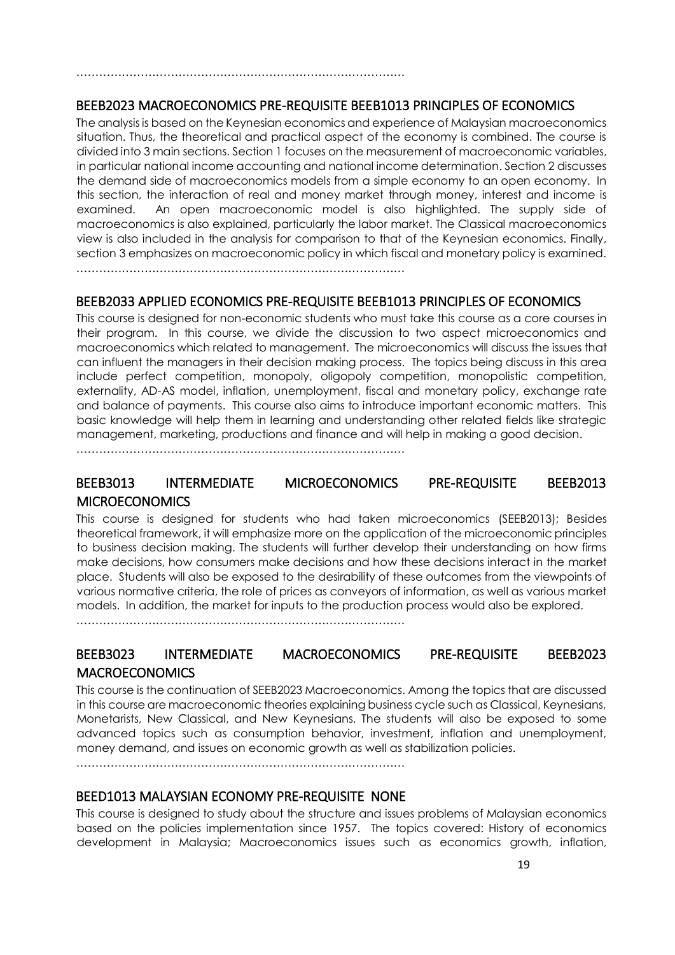## BEEB2023 MACROECONOMICS PRE-REQUISITE BEEB1013 PRINCIPLES OF ECONOMICS

The analysis is based on the Keynesian economics and experience of Malaysian macroeconomics situation. Thus, the theoretical and practical aspect of the economy is combined. The course is divided into 3 main sections. Section 1 focuses on the measurement of macroeconomic variables, in particular national income accounting and national income determination. Section 2 discusses the demand side of macroeconomics models from a simple economy to an open economy. In this section, the interaction of real and money market through money, interest and income is examined. An open macroeconomic model is also highlighted. The supply side of macroeconomics is also explained, particularly the labor market. The Classical macroeconomics view is also included in the analysis for comparison to that of the Keynesian economics. Finally, section 3 emphasizes on macroeconomic policy in which fiscal and monetary policy is examined. ……………………………………………………………………………

BEEB2033 APPLIED ECONOMICS PRE-REQUISITE BEEB1013 PRINCIPLES OF ECONOMICS

This course is designed for non-economic students who must take this course as a core courses in their program. In this course, we divide the discussion to two aspect microeconomics and macroeconomics which related to management. The microeconomics will discuss the issues that can influent the managers in their decision making process. The topics being discuss in this area include perfect competition, monopoly, oligopoly competition, monopolistic competition, externality, AD-AS model, inflation, unemployment, fiscal and monetary policy, exchange rate and balance of payments. This course also aims to introduce important economic matters. This basic knowledge will help them in learning and understanding other related fields like strategic management, marketing, productions and finance and will help in making a good decision.

……………………………………………………………………………

……………………………………………………………………………

## BEEB3013 INTERMEDIATE MICROECONOMICS PRE-REQUISITE BEEB2013 **MICROECONOMICS**

This course is designed for students who had taken microeconomics (SEEB2013); Besides theoretical framework, it will emphasize more on the application of the microeconomic principles to business decision making. The students will further develop their understanding on how firms make decisions, how consumers make decisions and how these decisions interact in the market place. Students will also be exposed to the desirability of these outcomes from the viewpoints of various normative criteria, the role of prices as conveyors of information, as well as various market models. In addition, the market for inputs to the production process would also be explored.

……………………………………………………………………………

# BEEB3023 INTERMEDIATE MACROECONOMICS PRE-REQUISITE BEEB2023 **MACROECONOMICS**

This course is the continuation of SEEB2023 Macroeconomics. Among the topics that are discussed in this course are macroeconomic theories explaining business cycle such as Classical, Keynesians, Monetarists, New Classical, and New Keynesians. The students will also be exposed to some advanced topics such as consumption behavior, investment, inflation and unemployment, money demand, and issues on economic growth as well as stabilization policies.

……………………………………………………………………………

## BEED1013 MALAYSIAN ECONOMY PRE-REQUISITE NONE

This course is designed to study about the structure and issues problems of Malaysian economics based on the policies implementation since 1957. The topics covered: History of economics development in Malaysia; Macroeconomics issues such as economics growth, inflation,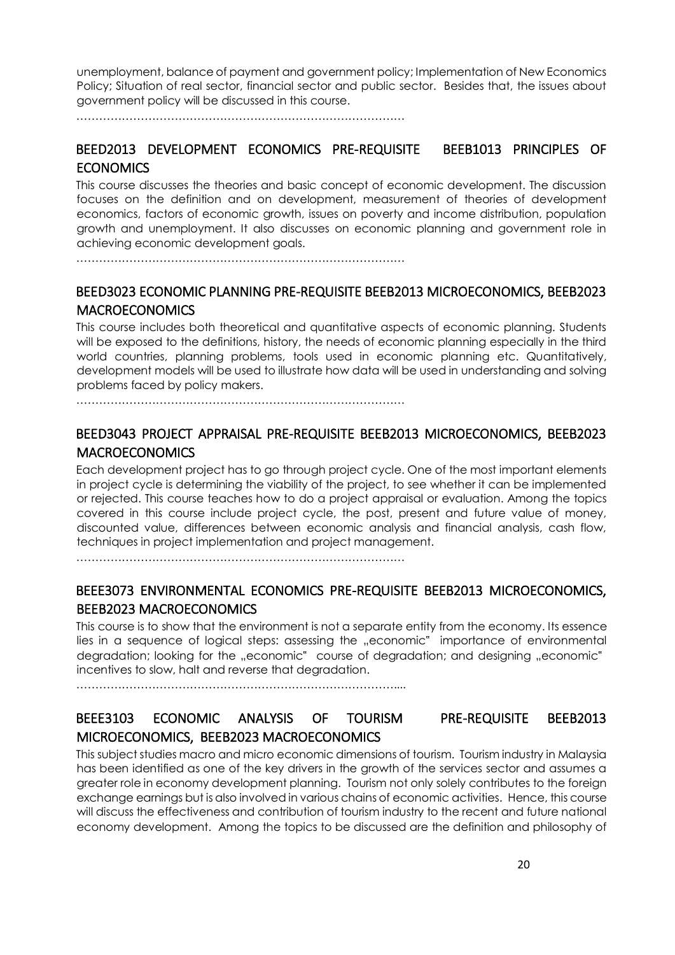unemployment, balance of payment and government policy; Implementation of New Economics Policy; Situation of real sector, financial sector and public sector. Besides that, the issues about government policy will be discussed in this course.

……………………………………………………………………………

# BEED2013 DEVELOPMENT ECONOMICS PRE-REQUISITE BEEB1013 PRINCIPLES OF **ECONOMICS**

This course discusses the theories and basic concept of economic development. The discussion focuses on the definition and on development, measurement of theories of development economics, factors of economic growth, issues on poverty and income distribution, population growth and unemployment. It also discusses on economic planning and government role in achieving economic development goals.

……………………………………………………………………………

# BEED3023 ECONOMIC PLANNING PRE-REQUISITE BEEB2013 MICROECONOMICS, BEEB2023 MACROECONOMICS

This course includes both theoretical and quantitative aspects of economic planning. Students will be exposed to the definitions, history, the needs of economic planning especially in the third world countries, planning problems, tools used in economic planning etc. Quantitatively, development models will be used to illustrate how data will be used in understanding and solving problems faced by policy makers.

……………………………………………………………………………

## BEED3043 PROJECT APPRAISAL PRE-REQUISITE BEEB2013 MICROECONOMICS, BEEB2023 MACROECONOMICS

Each development project has to go through project cycle. One of the most important elements in project cycle is determining the viability of the project, to see whether it can be implemented or rejected. This course teaches how to do a project appraisal or evaluation. Among the topics covered in this course include project cycle, the post, present and future value of money, discounted value, differences between economic analysis and financial analysis, cash flow, techniques in project implementation and project management.

……………………………………………………………………………

# BEEE3073 ENVIRONMENTAL ECONOMICS PRE-REQUISITE BEEB2013 MICROECONOMICS, BEEB2023 MACROECONOMICS

This course is to show that the environment is not a separate entity from the economy. Its essence lies in a sequence of logical steps: assessing the "economic" importance of environmental degradation; looking for the "economic" course of degradation; and designing "economic" incentives to slow, halt and reverse that degradation.

…………………………………………………………………………....

# BEEE3103 ECONOMIC ANALYSIS OF TOURISM PRE-REQUISITE BEEB2013 MICROECONOMICS, BEEB2023 MACROECONOMICS

This subject studies macro and micro economic dimensions of tourism. Tourism industry in Malaysia has been identified as one of the key drivers in the growth of the services sector and assumes a greater role in economy development planning. Tourism not only solely contributes to the foreign exchange earnings but is also involved in various chains of economic activities. Hence, this course will discuss the effectiveness and contribution of tourism industry to the recent and future national economy development. Among the topics to be discussed are the definition and philosophy of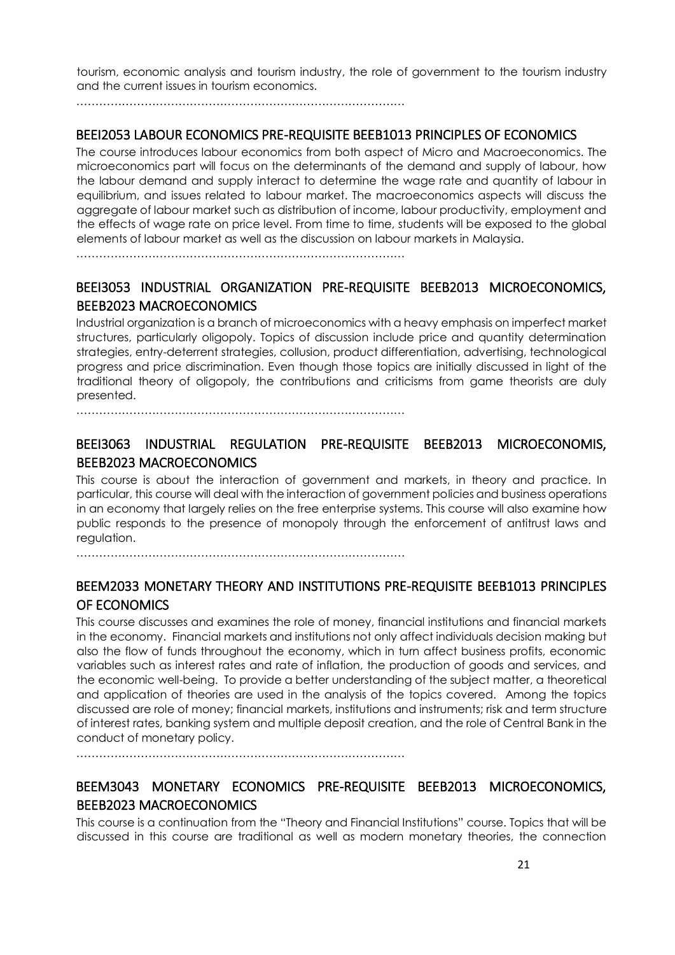tourism, economic analysis and tourism industry, the role of government to the tourism industry and the current issues in tourism economics.

……………………………………………………………………………

## BEEI2053 LABOUR ECONOMICS PRE-REQUISITE BEEB1013 PRINCIPLES OF ECONOMICS

The course introduces labour economics from both aspect of Micro and Macroeconomics. The microeconomics part will focus on the determinants of the demand and supply of labour, how the labour demand and supply interact to determine the wage rate and quantity of labour in equilibrium, and issues related to labour market. The macroeconomics aspects will discuss the aggregate of labour market such as distribution of income, labour productivity, employment and the effects of wage rate on price level. From time to time, students will be exposed to the global elements of labour market as well as the discussion on labour markets in Malaysia.

……………………………………………………………………………

# BEEI3053 INDUSTRIAL ORGANIZATION PRE-REQUISITE BEEB2013 MICROECONOMICS, BEEB2023 MACROECONOMICS

Industrial organization is a branch of microeconomics with a heavy emphasis on imperfect market structures, particularly oligopoly. Topics of discussion include price and quantity determination strategies, entry-deterrent strategies, collusion, product differentiation, advertising, technological progress and price discrimination. Even though those topics are initially discussed in light of the traditional theory of oligopoly, the contributions and criticisms from game theorists are duly presented.

……………………………………………………………………………

## BEEI3063 INDUSTRIAL REGULATION PRE-REQUISITE BEEB2013 MICROECONOMIS, BEEB2023 MACROECONOMICS

This course is about the interaction of government and markets, in theory and practice. In particular, this course will deal with the interaction of government policies and business operations in an economy that largely relies on the free enterprise systems. This course will also examine how public responds to the presence of monopoly through the enforcement of antitrust laws and regulation.

……………………………………………………………………………

# BEEM2033 MONETARY THEORY AND INSTITUTIONS PRE-REQUISITE BEEB1013 PRINCIPLES OF ECONOMICS

This course discusses and examines the role of money, financial institutions and financial markets in the economy. Financial markets and institutions not only affect individuals decision making but also the flow of funds throughout the economy, which in turn affect business profits, economic variables such as interest rates and rate of inflation, the production of goods and services, and the economic well-being. To provide a better understanding of the subject matter, a theoretical and application of theories are used in the analysis of the topics covered. Among the topics discussed are role of money; financial markets, institutions and instruments; risk and term structure of interest rates, banking system and multiple deposit creation, and the role of Central Bank in the conduct of monetary policy.

……………………………………………………………………………

# BEEM3043 MONETARY ECONOMICS PRE-REQUISITE BEEB2013 MICROECONOMICS, BEEB2023 MACROECONOMICS

This course is a continuation from the "Theory and Financial Institutions" course. Topics that will be discussed in this course are traditional as well as modern monetary theories, the connection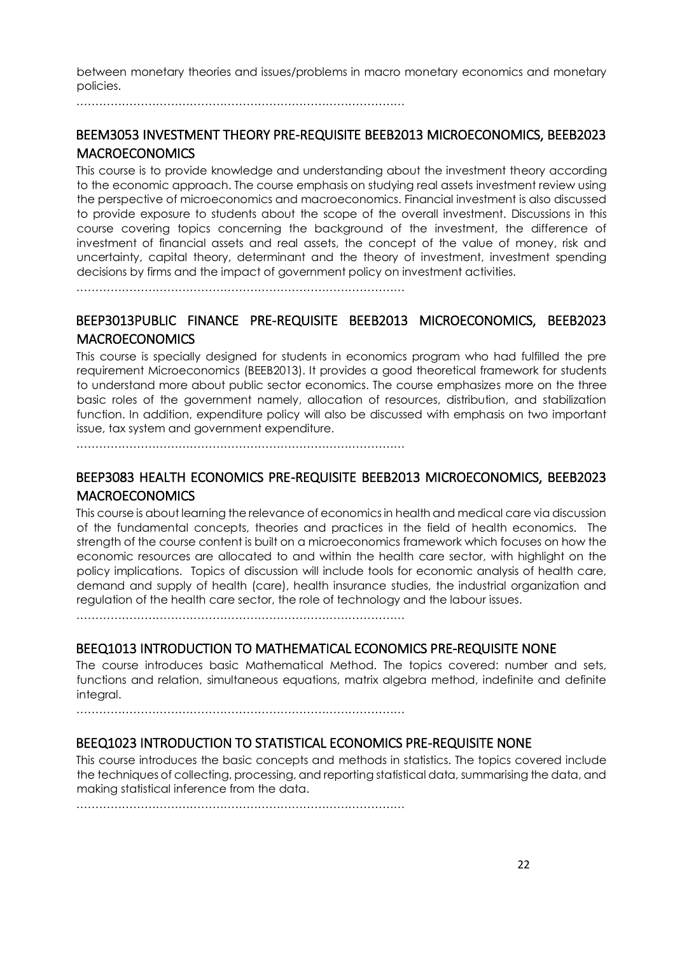between monetary theories and issues/problems in macro monetary economics and monetary policies.

……………………………………………………………………………

## BEEM3053 INVESTMENT THEORY PRE-REQUISITE BEEB2013 MICROECONOMICS, BEEB2023 **MACROECONOMICS**

This course is to provide knowledge and understanding about the investment theory according to the economic approach. The course emphasis on studying real assets investment review using the perspective of microeconomics and macroeconomics. Financial investment is also discussed to provide exposure to students about the scope of the overall investment. Discussions in this course covering topics concerning the background of the investment, the difference of investment of financial assets and real assets, the concept of the value of money, risk and uncertainty, capital theory, determinant and the theory of investment, investment spending decisions by firms and the impact of government policy on investment activities.

……………………………………………………………………………

# BEEP3013PUBLIC FINANCE PRE-REQUISITE BEEB2013 MICROECONOMICS, BEEB2023 MACROECONOMICS

This course is specially designed for students in economics program who had fulfilled the pre requirement Microeconomics (BEEB2013). It provides a good theoretical framework for students to understand more about public sector economics. The course emphasizes more on the three basic roles of the government namely, allocation of resources, distribution, and stabilization function. In addition, expenditure policy will also be discussed with emphasis on two important issue, tax system and government expenditure.

……………………………………………………………………………

# BEEP3083 HEALTH ECONOMICS PRE-REQUISITE BEEB2013 MICROECONOMICS, BEEB2023 MACROECONOMICS

This course is about learning the relevance of economics in health and medical care via discussion of the fundamental concepts, theories and practices in the field of health economics. The strength of the course content is built on a microeconomics framework which focuses on how the economic resources are allocated to and within the health care sector, with highlight on the policy implications. Topics of discussion will include tools for economic analysis of health care, demand and supply of health (care), health insurance studies, the industrial organization and regulation of the health care sector, the role of technology and the labour issues.

……………………………………………………………………………

## BEEQ1013 INTRODUCTION TO MATHEMATICAL ECONOMICS PRE-REQUISITE NONE

The course introduces basic Mathematical Method. The topics covered: number and sets, functions and relation, simultaneous equations, matrix algebra method, indefinite and definite integral.

……………………………………………………………………………

## BEEQ1023 INTRODUCTION TO STATISTICAL ECONOMICS PRE-REQUISITE NONE

This course introduces the basic concepts and methods in statistics. The topics covered include the techniques of collecting, processing, and reporting statistical data, summarising the data, and making statistical inference from the data.

……………………………………………………………………………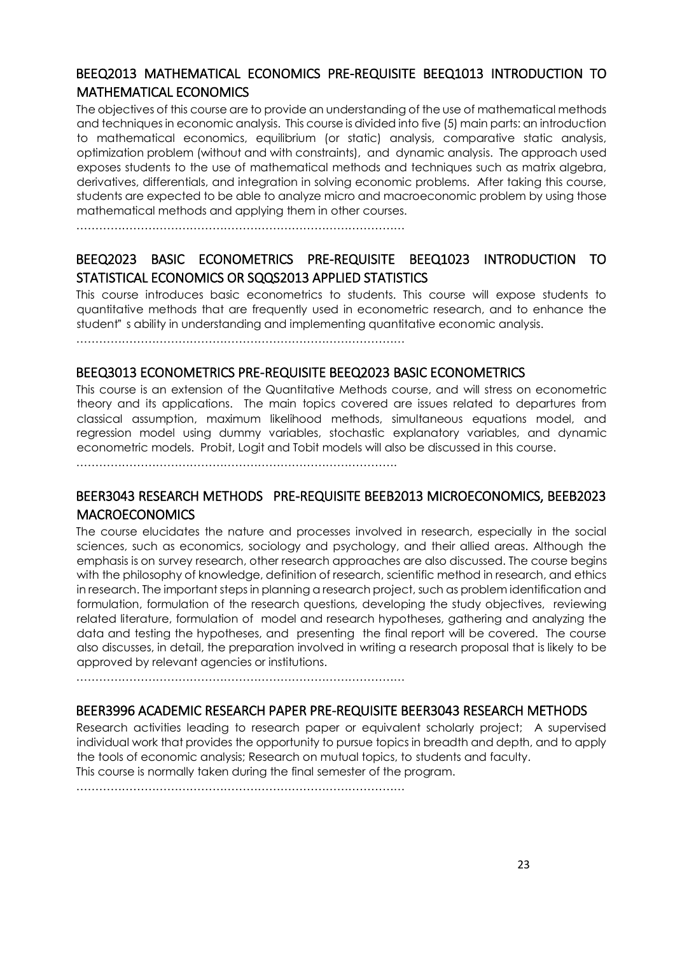## BEEQ2013 MATHEMATICAL ECONOMICS PRE-REQUISITE BEEQ1013 INTRODUCTION TO MATHEMATICAL ECONOMICS

The objectives of this course are to provide an understanding of the use of mathematical methods and techniques in economic analysis. This course is divided into five (5) main parts: an introduction to mathematical economics, equilibrium (or static) analysis, comparative static analysis, optimization problem (without and with constraints), and dynamic analysis. The approach used exposes students to the use of mathematical methods and techniques such as matrix algebra, derivatives, differentials, and integration in solving economic problems. After taking this course, students are expected to be able to analyze micro and macroeconomic problem by using those mathematical methods and applying them in other courses.

……………………………………………………………………………

# BEEQ2023 BASIC ECONOMETRICS PRE-REQUISITE BEEQ1023 INTRODUCTION TO STATISTICAL ECONOMICS OR SQQS2013 APPLIED STATISTICS

This course introduces basic econometrics to students. This course will expose students to quantitative methods that are frequently used in econometric research, and to enhance the student" s ability in understanding and implementing quantitative economic analysis.

……………………………………………………………………………

## BEEQ3013 ECONOMETRICS PRE-REQUISITE BEEQ2023 BASIC ECONOMETRICS

This course is an extension of the Quantitative Methods course, and will stress on econometric theory and its applications. The main topics covered are issues related to departures from classical assumption, maximum likelihood methods, simultaneous equations model, and regression model using dummy variables, stochastic explanatory variables, and dynamic econometric models. Probit, Logit and Tobit models will also be discussed in this course.

 $\mathcal{L}^{(n)}$ 

## BEER3043 RESEARCH METHODS PRE-REQUISITE BEEB2013 MICROECONOMICS, BEEB2023 MACROECONOMICS

The course elucidates the nature and processes involved in research, especially in the social sciences, such as economics, sociology and psychology, and their allied areas. Although the emphasis is on survey research, other research approaches are also discussed. The course begins with the philosophy of knowledge, definition of research, scientific method in research, and ethics in research. The important steps in planning a research project, such as problem identification and formulation, formulation of the research questions, developing the study objectives, reviewing related literature, formulation of model and research hypotheses, gathering and analyzing the data and testing the hypotheses, and presenting the final report will be covered. The course also discusses, in detail, the preparation involved in writing a research proposal that is likely to be approved by relevant agencies or institutions.

……………………………………………………………………………

## BEER3996 ACADEMIC RESEARCH PAPER PRE-REQUISITE BEER3043 RESEARCH METHODS

Research activities leading to research paper or equivalent scholarly project; A supervised individual work that provides the opportunity to pursue topics in breadth and depth, and to apply the tools of economic analysis; Research on mutual topics, to students and faculty. This course is normally taken during the final semester of the program.

……………………………………………………………………………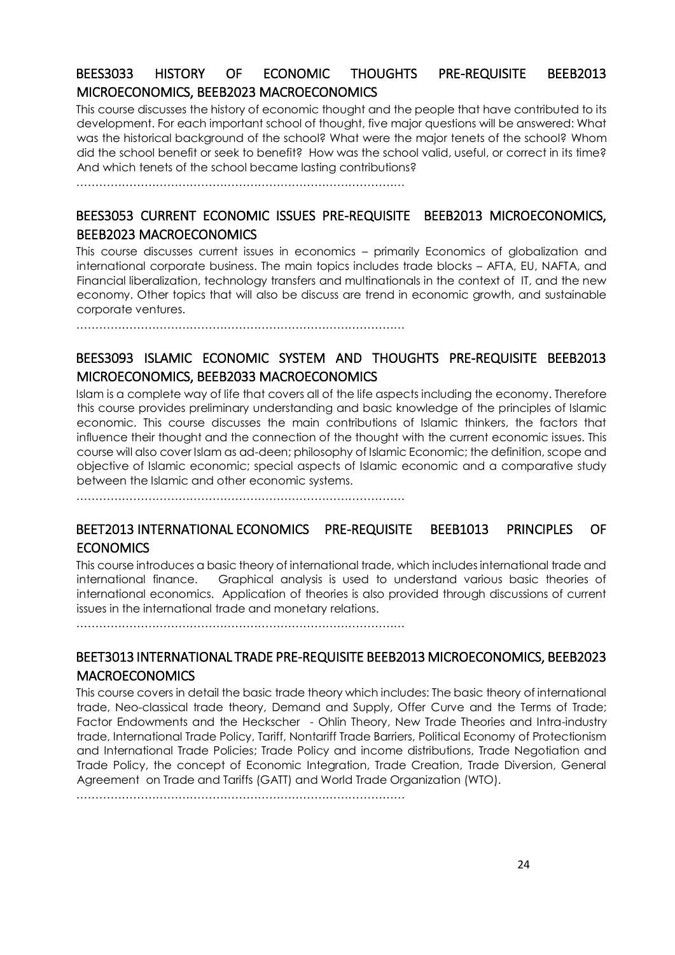# BEES3033 HISTORY OF ECONOMIC THOUGHTS PRE-REQUISITE BEEB2013 MICROECONOMICS, BEEB2023 MACROECONOMICS

This course discusses the history of economic thought and the people that have contributed to its development. For each important school of thought, five major questions will be answered: What was the historical background of the school? What were the major tenets of the school? Whom did the school benefit or seek to benefit? How was the school valid, useful, or correct in its time? And which tenets of the school became lasting contributions?

……………………………………………………………………………

# BEES3053 CURRENT ECONOMIC ISSUES PRE-REQUISITE BEEB2013 MICROECONOMICS, BEEB2023 MACROECONOMICS

This course discusses current issues in economics – primarily Economics of globalization and international corporate business. The main topics includes trade blocks – AFTA, EU, NAFTA, and Financial liberalization, technology transfers and multinationals in the context of IT, and the new economy. Other topics that will also be discuss are trend in economic growth, and sustainable corporate ventures.

……………………………………………………………………………

# BEES3093 ISLAMIC ECONOMIC SYSTEM AND THOUGHTS PRE-REQUISITE BEEB2013 MICROECONOMICS, BEEB2033 MACROECONOMICS

Islam is a complete way of life that covers all of the life aspects including the economy. Therefore this course provides preliminary understanding and basic knowledge of the principles of Islamic economic. This course discusses the main contributions of Islamic thinkers, the factors that influence their thought and the connection of the thought with the current economic issues. This course will also cover Islam as ad-deen; philosophy of Islamic Economic; the definition, scope and objective of Islamic economic; special aspects of Islamic economic and a comparative study between the Islamic and other economic systems.

……………………………………………………………………………

## BEET2013 INTERNATIONAL ECONOMICS PRE-REQUISITE BEEB1013 PRINCIPLES OF **ECONOMICS**

This course introduces a basic theory of international trade, which includes international trade and international finance. Graphical analysis is used to understand various basic theories of international economics. Application of theories is also provided through discussions of current issues in the international trade and monetary relations.

……………………………………………………………………………

## BEET3013 INTERNATIONAL TRADE PRE-REQUISITE BEEB2013 MICROECONOMICS, BEEB2023 **MACROECONOMICS**

This course covers in detail the basic trade theory which includes: The basic theory of international trade, Neo-classical trade theory, Demand and Supply, Offer Curve and the Terms of Trade; Factor Endowments and the Heckscher - Ohlin Theory, New Trade Theories and Intra-industry trade, International Trade Policy, Tariff, Nontariff Trade Barriers, Political Economy of Protectionism and International Trade Policies; Trade Policy and income distributions, Trade Negotiation and Trade Policy, the concept of Economic Integration, Trade Creation, Trade Diversion, General Agreement on Trade and Tariffs (GATT) and World Trade Organization (WTO).

……………………………………………………………………………